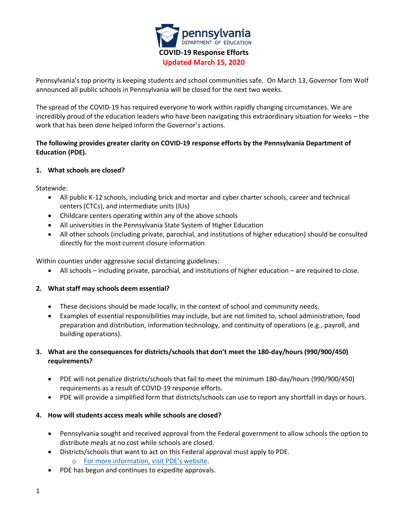

Pennsylvania's top priority is keeping students and school communities safe. On March 13, Governor Tom Wolf announced all public schools in Pennsylvania will be closed for the next two weeks.

The spread of the COVID-19 has required everyone to work within rapidly changing circumstances. We are incredibly proud of the education leaders who have been navigating this extraordinary situation for weeks – the work that has been done helped inform the Governor's actions.

# **The following provides greater clarity on COVID-19 response efforts by the Pennsylvania Department of Education (PDE).**

## **1. What schools are closed?**

Statewide:

- All public K-12 schools, including brick and mortar and cyber charter schools, career and technical centers (CTCs), and intermediate units (IUs)
- Childcare centers operating within any of the above schools
- All universities in the Pennsylvania State System of Higher Education
- All other schools (including private, parochial, and institutions of higher education) should be consulted directly for the most current closure information

Within counties under aggressive social distancing guidelines:

• All schools – including private, parochial, and institutions of higher education – are required to close.

#### **2. What staff may schools deem essential?**

- These decisions should be made locally, in the context of school and community needs.
- Examples of essential responsibilities may include, but are not limited to, school administration, food preparation and distribution, information technology, and continuity of operations (e.g., payroll, and building operations).

## **3. What are the consequences for districts/schools that don't meet the 180-day/hours (990/900/450) requirements?**

- PDE will not penalize districts/schools that fail to meet the minimum 180-day/hours (990/900/450) requirements as a result of COVID-19 response efforts.
- PDE will provide a simplified form that districts/schools can use to report any shortfall in days or hours.

#### **4. How will students access meals while schools are closed?**

- Pennsylvania sought and received approval from the Federal government to allow schools the option to distribute meals at no cost while schools are closed.
- Districts/schools that want to act on this Federal approval must apply to PDE. o For more information, visit PDE's website.
- PDE has begun and continues to expedite approvals.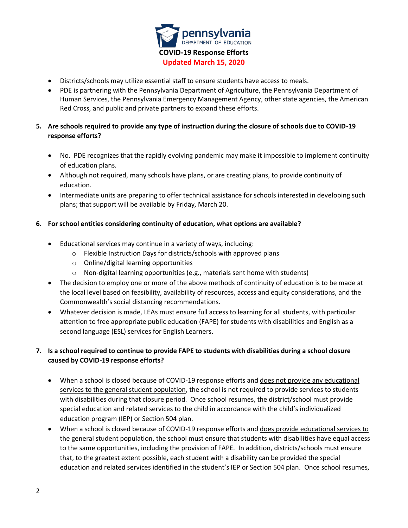

- Districts/schools may utilize essential staff to ensure students have access to meals.
- PDE is partnering with the Pennsylvania Department of Agriculture, the Pennsylvania Department of Human Services, the Pennsylvania Emergency Management Agency, other state agencies, the American Red Cross, and public and private partners to expand these efforts.

# **5. Are schools required to provide any type of instruction during the closure of schools due to COVID-19 response efforts?**

- No. PDE recognizes that the rapidly evolving pandemic may make it impossible to implement continuity of education plans.
- Although not required, many schools have plans, or are creating plans, to provide continuity of education.
- Intermediate units are preparing to offer technical assistance for schools interested in developing such plans; that support will be available by Friday, March 20.

## **6. For school entities considering continuity of education, what options are available?**

- Educational services may continue in a variety of ways, including:
	- o Flexible Instruction Days for districts/schools with approved plans
	- o Online/digital learning opportunities
	- o Non-digital learning opportunities (e.g., materials sent home with students)
- The decision to employ one or more of the above methods of continuity of education is to be made at the local level based on feasibility, availability of resources, access and equity considerations, and the Commonwealth's social distancing recommendations.
- Whatever decision is made, LEAs must ensure full access to learning for all students, with particular attention to free appropriate public education (FAPE) for students with disabilities and English as a second language (ESL) services for English Learners.

# **7. Is a school required to continue to provide FAPE to students with disabilities during a school closure caused by COVID-19 response efforts?**

- When a school is closed because of COVID-19 response efforts and does not provide any educational services to the general student population, the school is not required to provide services to students with disabilities during that closure period. Once school resumes, the district/school must provide special education and related services to the child in accordance with the child's individualized education program (IEP) or Section 504 plan.
- When a school is closed because of COVID-19 response efforts and does provide educational services to the general student population, the school must ensure that students with disabilities have equal access to the same opportunities, including the provision of FAPE. In addition, districts/schools must ensure that, to the greatest extent possible, each student with a disability can be provided the special education and related services identified in the student's IEP or Section 504 plan. Once school resumes,